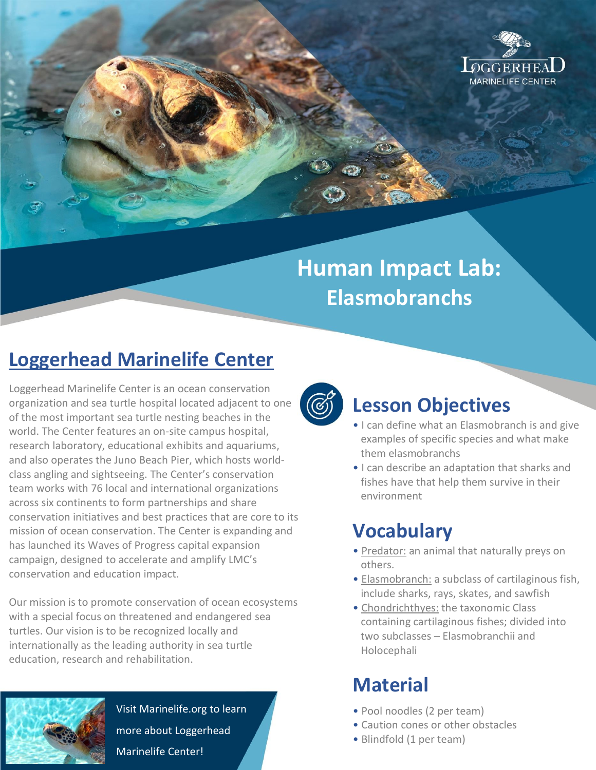

# **Human Impact Lab: Elasmobranchs**

## **Loggerhead Marinelife Center**

Loggerhead Marinelife Center is an ocean conservation organization and sea turtle hospital located adjacent to one of the most important sea turtle nesting beaches in the world. The Center features an on-site campus hospital, research laboratory, educational exhibits and aquariums, and also operates the Juno Beach Pier, which hosts worldclass angling and sightseeing. The Center's conservation team works with 76 local and international organizations across six continents to form partnerships and share conservation initiatives and best practices that are core to its mission of ocean conservation. The Center is expanding and has launched its Waves of Progress capital expansion campaign, designed to accelerate and amplify LMC's conservation and education impact.

Our mission is to promote conservation of ocean ecosystems with a special focus on threatened and endangered sea turtles. Our vision is to be recognized locally and internationally as the leading authority in sea turtle education, research and rehabilitation.



#### **Lesson Objectives**

- I can define what an Elasmobranch is and give examples of specific species and what make them elasmobranchs
- I can describe an adaptation that sharks and fishes have that help them survive in their environment

## **Vocabulary**

- Predator: an animal that naturally preys on others.
- Elasmobranch: a subclass of cartilaginous fish, include sharks, rays, skates, and sawfish
- Chondrichthyes: the taxonomic Class containing cartilaginous fishes; divided into two subclasses – Elasmobranchii and Holocephali

## **Material**

- Pool noodles (2 per team)
- Caution cones or other obstacles
- Blindfold (1 per team)



Visit Marinelife.org to learn more about Loggerhead Marinelife Center!